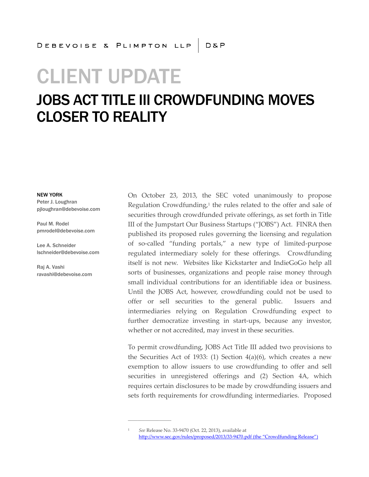# CLIENT UPDATE

### JOBS ACT TITLE III CROWDFUNDING MOVES CLOSER TO REALITY

#### NEW YORK

Peter J. Loughran pjloughran@debevoise.com

Paul M. Rodel pmrodel@debevoise.com

Lee A. Schneider lschneider@debevoise.com

Raj A. Vashi ravashi@debevoise.com On October 23, 2013, the SEC voted unanimously to propose Regulation Crowdfunding,<sup>1</sup> the rules related to the offer and sale of securities through crowdfunded private offerings, as set forth in Title III of the Jumpstart Our Business Startups ("JOBS") Act. FINRA then published its proposed rules governing the licensing and regulation of so-called "funding portals," a new type of limited-purpose regulated intermediary solely for these offerings. Crowdfunding itself is not new. Websites like Kickstarter and IndieGoGo help all sorts of businesses, organizations and people raise money through small individual contributions for an identifiable idea or business. Until the JOBS Act, however, crowdfunding could not be used to offer or sell securities to the general public. Issuers and intermediaries relying on Regulation Crowdfunding expect to further democratize investing in start-ups, because any investor, whether or not accredited, may invest in these securities.

To permit crowdfunding, JOBS Act Title III added two provisions to the Securities Act of 1933: (1) Section 4(a)(6), which creates a new exemption to allow issuers to use crowdfunding to offer and sell securities in unregistered offerings and (2) Section 4A, which requires certain disclosures to be made by crowdfunding issuers and sets forth requirements for crowdfunding intermediaries. Proposed

**\_\_\_\_\_\_\_\_\_\_\_\_\_\_\_\_\_\_**

<sup>1</sup> *See* Release No. 33-9470 (Oct. 22, 2013), available at http://www.sec.gov/rules/proposed/2013/33-9470.pdf (the "Crowdfunding Release")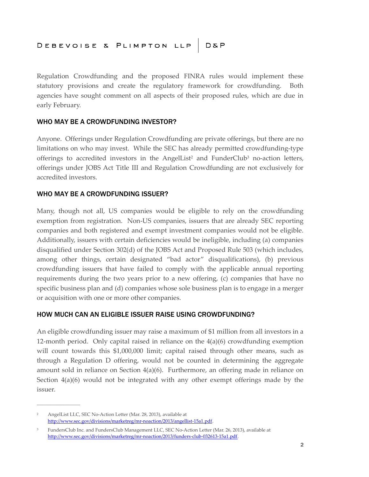Regulation Crowdfunding and the proposed FINRA rules would implement these statutory provisions and create the regulatory framework for crowdfunding. Both agencies have sought comment on all aspects of their proposed rules, which are due in early February.

#### WHO MAY BE A CROWDFUNDING INVESTOR?

Anyone. Offerings under Regulation Crowdfunding are private offerings, but there are no limitations on who may invest. While the SEC has already permitted crowdfunding-type offerings to accredited investors in the AngelList<sup>2</sup> and FunderClub<sup>3</sup> no-action letters, offerings under JOBS Act Title III and Regulation Crowdfunding are not exclusively for accredited investors.

#### WHO MAY BE A CROWDFUNDING ISSUER?

Many, though not all, US companies would be eligible to rely on the crowdfunding exemption from registration. Non-US companies, issuers that are already SEC reporting companies and both registered and exempt investment companies would not be eligible. Additionally, issuers with certain deficiencies would be ineligible, including (a) companies disqualified under Section 302(d) of the JOBS Act and Proposed Rule 503 (which includes, among other things, certain designated "bad actor" disqualifications), (b) previous crowdfunding issuers that have failed to comply with the applicable annual reporting requirements during the two years prior to a new offering, (c) companies that have no specific business plan and (d) companies whose sole business plan is to engage in a merger or acquisition with one or more other companies.

#### HOW MUCH CAN AN ELIGIBLE ISSUER RAISE USING CROWDFUNDING?

An eligible crowdfunding issuer may raise a maximum of \$1 million from all investors in a 12-month period. Only capital raised in reliance on the  $4(a)(6)$  crowdfunding exemption will count towards this \$1,000,000 limit; capital raised through other means, such as through a Regulation D offering, would not be counted in determining the aggregate amount sold in reliance on Section  $4(a)(6)$ . Furthermore, an offering made in reliance on Section 4(a)(6) would not be integrated with any other exempt offerings made by the issuer.

**\_\_\_\_\_\_\_\_\_\_\_\_\_\_\_\_\_\_**

<sup>2</sup> AngelList LLC, SEC No-Action Letter (Mar. 28, 2013), available at http://www.sec.gov/divisions/marketreg/mr-noaction/2013/angellist-15a1.pdf.

<sup>&</sup>lt;sup>3</sup> FundersClub Inc. and FundersClub Management LLC, SEC No-Action Letter (Mar. 26, 2013), available at http://www.sec.gov/divisions/marketreg/mr-noaction/2013/funders-club-032613-15a1.pdf.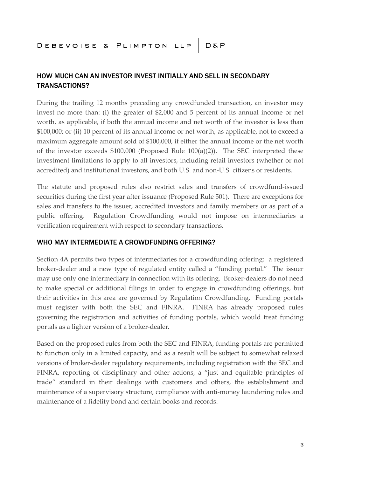### HOW MUCH CAN AN INVESTOR INVEST INITIALLY AND SELL IN SECONDARY TRANSACTIONS?

During the trailing 12 months preceding any crowdfunded transaction, an investor may invest no more than: (i) the greater of \$2,000 and 5 percent of its annual income or net worth, as applicable, if both the annual income and net worth of the investor is less than \$100,000; or (ii) 10 percent of its annual income or net worth, as applicable, not to exceed a maximum aggregate amount sold of \$100,000, if either the annual income or the net worth of the investor exceeds  $$100,000$  (Proposed Rule  $100(a)(2)$ ). The SEC interpreted these investment limitations to apply to all investors, including retail investors (whether or not accredited) and institutional investors, and both U.S. and non-U.S. citizens or residents.

The statute and proposed rules also restrict sales and transfers of crowdfund-issued securities during the first year after issuance (Proposed Rule 501). There are exceptions for sales and transfers to the issuer, accredited investors and family members or as part of a public offering. Regulation Crowdfunding would not impose on intermediaries a verification requirement with respect to secondary transactions.

#### WHO MAY INTERMEDIATE A CROWDFUNDING OFFERING?

Section 4A permits two types of intermediaries for a crowdfunding offering: a registered broker-dealer and a new type of regulated entity called a "funding portal." The issuer may use only one intermediary in connection with its offering. Broker-dealers do not need to make special or additional filings in order to engage in crowdfunding offerings, but their activities in this area are governed by Regulation Crowdfunding. Funding portals must register with both the SEC and FINRA. FINRA has already proposed rules governing the registration and activities of funding portals, which would treat funding portals as a lighter version of a broker-dealer.

Based on the proposed rules from both the SEC and FINRA, funding portals are permitted to function only in a limited capacity, and as a result will be subject to somewhat relaxed versions of broker-dealer regulatory requirements, including registration with the SEC and FINRA, reporting of disciplinary and other actions, a "just and equitable principles of trade" standard in their dealings with customers and others, the establishment and maintenance of a supervisory structure, compliance with anti-money laundering rules and maintenance of a fidelity bond and certain books and records.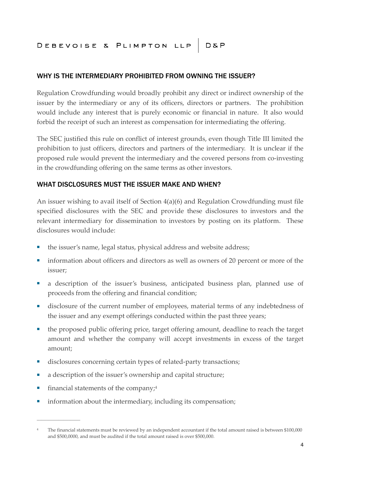### DEBEVOISE & PLIMPTON LLP D&P

#### WHY IS THE INTERMEDIARY PROHIBITED FROM OWNING THE ISSUER?

Regulation Crowdfunding would broadly prohibit any direct or indirect ownership of the issuer by the intermediary or any of its officers, directors or partners. The prohibition would include any interest that is purely economic or financial in nature. It also would forbid the receipt of such an interest as compensation for intermediating the offering.

The SEC justified this rule on conflict of interest grounds, even though Title III limited the prohibition to just officers, directors and partners of the intermediary. It is unclear if the proposed rule would prevent the intermediary and the covered persons from co-investing in the crowdfunding offering on the same terms as other investors.

#### WHAT DISCLOSURES MUST THE ISSUER MAKE AND WHEN?

An issuer wishing to avail itself of Section 4(a)(6) and Regulation Crowdfunding must file specified disclosures with the SEC and provide these disclosures to investors and the relevant intermediary for dissemination to investors by posting on its platform. These disclosures would include:

- the issuer's name, legal status, physical address and website address;
- information about officers and directors as well as owners of 20 percent or more of the issuer;
- a description of the issuer's business, anticipated business plan, planned use of proceeds from the offering and financial condition;
- disclosure of the current number of employees, material terms of any indebtedness of the issuer and any exempt offerings conducted within the past three years;
- the proposed public offering price, target offering amount, deadline to reach the target amount and whether the company will accept investments in excess of the target amount;
- disclosures concerning certain types of related-party transactions;
- a description of the issuer's ownership and capital structure;
- $\blacksquare$  financial statements of the company;<sup>4</sup>

**\_\_\_\_\_\_\_\_\_\_\_\_\_\_\_\_\_\_**

■ information about the intermediary, including its compensation;

<sup>4</sup> The financial statements must be reviewed by an independent accountant if the total amount raised is between \$100,000 and \$500,0000, and must be audited if the total amount raised is over \$500,000.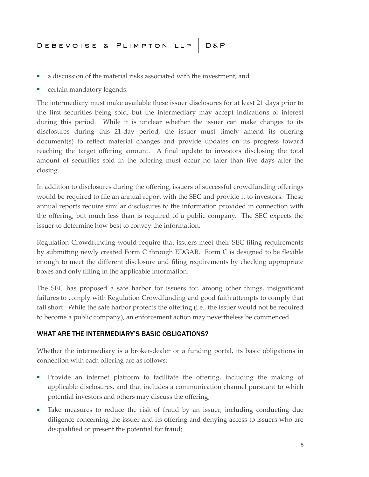- a discussion of the material risks associated with the investment; and
- certain mandatory legends.

The intermediary must make available these issuer disclosures for at least 21 days prior to the first securities being sold, but the intermediary may accept indications of interest during this period. While it is unclear whether the issuer can make changes to its disclosures during this 21-day period, the issuer must timely amend its offering document(s) to reflect material changes and provide updates on its progress toward reaching the target offering amount. A final update to investors disclosing the total amount of securities sold in the offering must occur no later than five days after the closing.

In addition to disclosures during the offering, issuers of successful crowdfunding offerings would be required to file an annual report with the SEC and provide it to investors. These annual reports require similar disclosures to the information provided in connection with the offering, but much less than is required of a public company. The SEC expects the issuer to determine how best to convey the information.

Regulation Crowdfunding would require that issuers meet their SEC filing requirements by submitting newly created Form C through EDGAR. Form C is designed to be flexible enough to meet the different disclosure and filing requirements by checking appropriate boxes and only filling in the applicable information.

The SEC has proposed a safe harbor for issuers for, among other things, insignificant failures to comply with Regulation Crowdfunding and good faith attempts to comply that fall short. While the safe harbor protects the offering (i.e., the issuer would not be required to become a public company), an enforcement action may nevertheless be commenced.

#### WHAT ARE THE INTERMEDIARY'S BASIC OBLIGATIONS?

Whether the intermediary is a broker-dealer or a funding portal, its basic obligations in connection with each offering are as follows:

- Provide an internet platform to facilitate the offering, including the making of applicable disclosures, and that includes a communication channel pursuant to which potential investors and others may discuss the offering;
- Take measures to reduce the risk of fraud by an issuer, including conducting due diligence concerning the issuer and its offering and denying access to issuers who are disqualified or present the potential for fraud;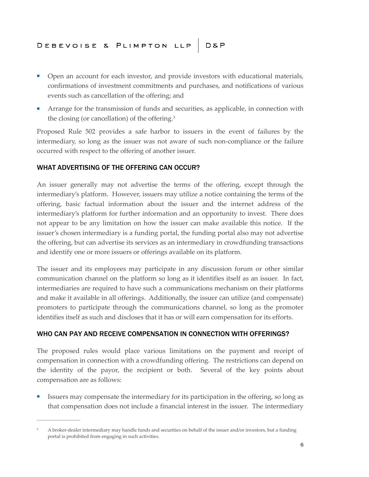## DEBEVOISE & PLIMPTON LLP D&P

- Open an account for each investor, and provide investors with educational materials, confirmations of investment commitments and purchases, and notifications of various events such as cancellation of the offering; and
- Arrange for the transmission of funds and securities, as applicable, in connection with the closing (or cancellation) of the offering.<sup>5</sup>

Proposed Rule 502 provides a safe harbor to issuers in the event of failures by the intermediary, so long as the issuer was not aware of such non-compliance or the failure occurred with respect to the offering of another issuer.

#### WHAT ADVERTISING OF THE OFFERING CAN OCCUR?

**\_\_\_\_\_\_\_\_\_\_\_\_\_\_\_\_\_\_**

An issuer generally may not advertise the terms of the offering, except through the intermediary's platform. However, issuers may utilize a notice containing the terms of the offering, basic factual information about the issuer and the internet address of the intermediary's platform for further information and an opportunity to invest. There does not appear to be any limitation on how the issuer can make available this notice. If the issuer's chosen intermediary is a funding portal, the funding portal also may not advertise the offering, but can advertise its services as an intermediary in crowdfunding transactions and identify one or more issuers or offerings available on its platform.

The issuer and its employees may participate in any discussion forum or other similar communication channel on the platform so long as it identifies itself as an issuer. In fact, intermediaries are required to have such a communications mechanism on their platforms and make it available in all offerings. Additionally, the issuer can utilize (and compensate) promoters to participate through the communications channel, so long as the promoter identifies itself as such and discloses that it has or will earn compensation for its efforts.

#### WHO CAN PAY AND RECEIVE COMPENSATION IN CONNECTION WITH OFFERINGS?

The proposed rules would place various limitations on the payment and receipt of compensation in connection with a crowdfunding offering. The restrictions can depend on the identity of the payor, the recipient or both. Several of the key points about compensation are as follows:

■ Issuers may compensate the intermediary for its participation in the offering, so long as that compensation does not include a financial interest in the issuer. The intermediary

<sup>5</sup> A broker-dealer intermediary may handle funds and securities on behalf of the issuer and/or investors, but a funding portal is prohibited from engaging in such activities.